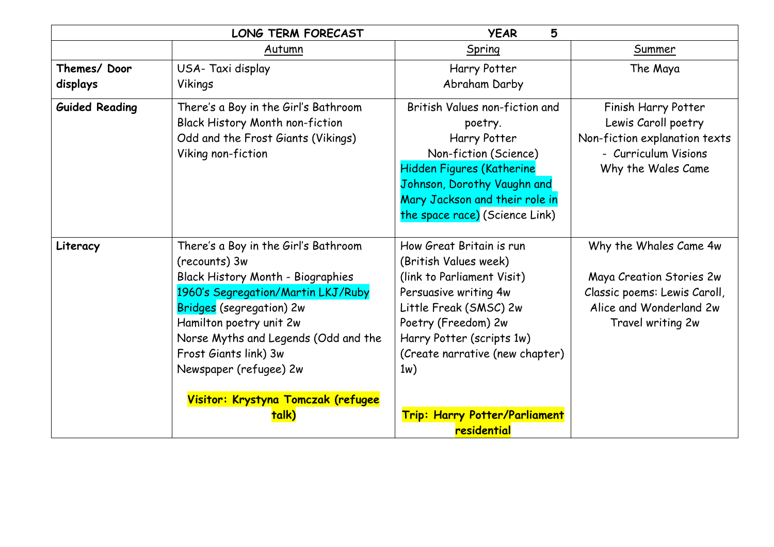|                       | <b>LONG TERM FORECAST</b>              | <b>YEAR</b><br>5                |                               |
|-----------------------|----------------------------------------|---------------------------------|-------------------------------|
|                       | Autumn                                 | Spring                          | Summer                        |
| Themes/Door           | USA-Taxi display                       | Harry Potter                    | The Maya                      |
| displays              | Vikings                                | Abraham Darby                   |                               |
| <b>Guided Reading</b> | There's a Boy in the Girl's Bathroom   | British Values non-fiction and  | Finish Harry Potter           |
|                       | <b>Black History Month non-fiction</b> | poetry.                         | Lewis Caroll poetry           |
|                       | Odd and the Frost Giants (Vikings)     | Harry Potter                    | Non-fiction explanation texts |
|                       | Viking non-fiction                     | Non-fiction (Science)           | - Curriculum Visions          |
|                       |                                        | Hidden Figures (Katherine       | Why the Wales Came            |
|                       |                                        | Johnson, Dorothy Vaughn and     |                               |
|                       |                                        | Mary Jackson and their role in  |                               |
|                       |                                        | the space race) (Science Link)  |                               |
| Literacy              | There's a Boy in the Girl's Bathroom   | How Great Britain is run        | Why the Whales Came 4w        |
|                       | (recounts) 3w                          | (British Values week)           |                               |
|                       | Black History Month - Biographies      | (link to Parliament Visit)      | Maya Creation Stories 2w      |
|                       | 1960's Segregation/Martin LKJ/Ruby     | Persuasive writing 4w           | Classic poems: Lewis Caroll,  |
|                       | <b>Bridges</b> (segregation) 2w        | Little Freak (SMSC) 2w          | Alice and Wonderland 2w       |
|                       | Hamilton poetry unit 2w                | Poetry (Freedom) 2w             | Travel writing 2w             |
|                       | Norse Myths and Legends (Odd and the   | Harry Potter (scripts 1w)       |                               |
|                       | Frost Giants link) 3w                  | (Create narrative (new chapter) |                               |
|                       | Newspaper (refugee) 2w                 | 1w)                             |                               |
|                       | Visitor: Krystyna Tomczak (refugee     |                                 |                               |
|                       | talk)                                  | Trip: Harry Potter/Parliament   |                               |
|                       |                                        | residential                     |                               |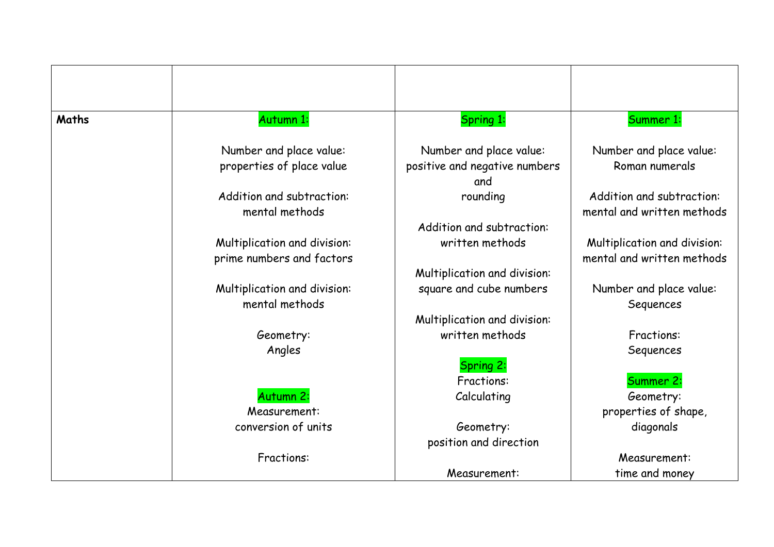| Maths | Autumn 1:                    | Spring 1:                     | Summer 1:                    |
|-------|------------------------------|-------------------------------|------------------------------|
|       | Number and place value:      | Number and place value:       | Number and place value:      |
|       | properties of place value    | positive and negative numbers | Roman numerals               |
|       |                              | and                           |                              |
|       | Addition and subtraction:    | rounding                      | Addition and subtraction:    |
|       | mental methods               |                               | mental and written methods   |
|       |                              | Addition and subtraction:     |                              |
|       | Multiplication and division: | written methods               | Multiplication and division: |
|       | prime numbers and factors    |                               | mental and written methods   |
|       |                              | Multiplication and division:  |                              |
|       | Multiplication and division: | square and cube numbers       | Number and place value:      |
|       | mental methods               |                               | Sequences                    |
|       |                              | Multiplication and division:  |                              |
|       | Geometry:                    | written methods               | <b>Fractions:</b>            |
|       | Angles                       |                               | Sequences                    |
|       |                              | Spring 2:                     |                              |
|       |                              | <b>Fractions:</b>             | Summer 2:                    |
|       | Autumn 2:                    | Calculating                   | Geometry:                    |
|       | Measurement:                 |                               | properties of shape,         |
|       | conversion of units          | Geometry:                     | diagonals                    |
|       |                              | position and direction        |                              |
|       | Fractions:                   |                               | Measurement:                 |
|       |                              | Measurement:                  | time and money               |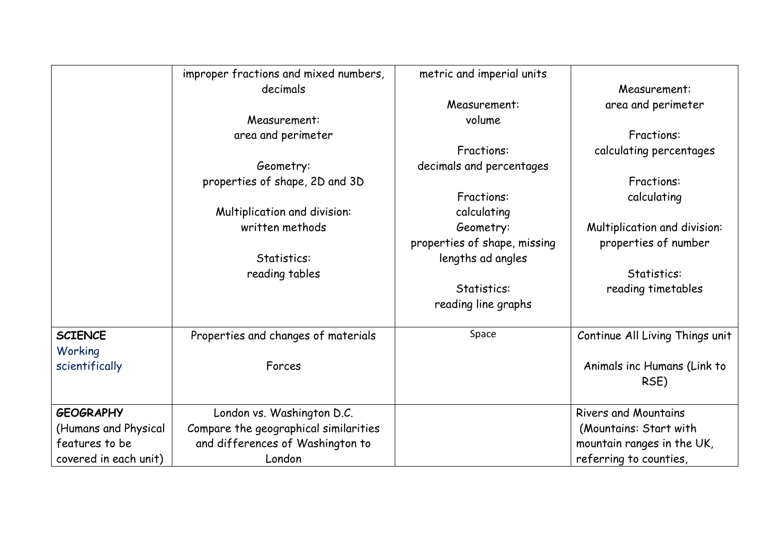|                       | improper fractions and mixed numbers, | metric and imperial units    |                                     |
|-----------------------|---------------------------------------|------------------------------|-------------------------------------|
|                       | decimals                              |                              | Measurement:                        |
|                       |                                       | Measurement:                 | area and perimeter                  |
|                       | Measurement:                          | volume                       |                                     |
|                       | area and perimeter                    |                              | Fractions:                          |
|                       |                                       | <b>Fractions:</b>            | calculating percentages             |
|                       | Geometry:                             | decimals and percentages     |                                     |
|                       | properties of shape, 2D and 3D        |                              | <b>Fractions:</b>                   |
|                       |                                       | <b>Fractions:</b>            | calculating                         |
|                       | Multiplication and division:          | calculating                  |                                     |
|                       | written methods                       | Geometry:                    | Multiplication and division:        |
|                       |                                       | properties of shape, missing | properties of number                |
|                       | Statistics:                           | lengths ad angles            |                                     |
|                       | reading tables                        |                              | Statistics:                         |
|                       |                                       | Statistics:                  | reading timetables                  |
|                       |                                       | reading line graphs          |                                     |
| <b>SCIENCE</b>        | Properties and changes of materials   | Space                        | Continue All Living Things unit     |
| Working               |                                       |                              |                                     |
| scientifically        | Forces                                |                              | Animals inc Humans (Link to<br>RSE) |
| <b>GEOGRAPHY</b>      | London vs. Washington D.C.            |                              | <b>Rivers and Mountains</b>         |
| (Humans and Physical  | Compare the geographical similarities |                              | (Mountains: Start with              |
| features to be        | and differences of Washington to      |                              | mountain ranges in the UK,          |
| covered in each unit) | London                                |                              | referring to counties,              |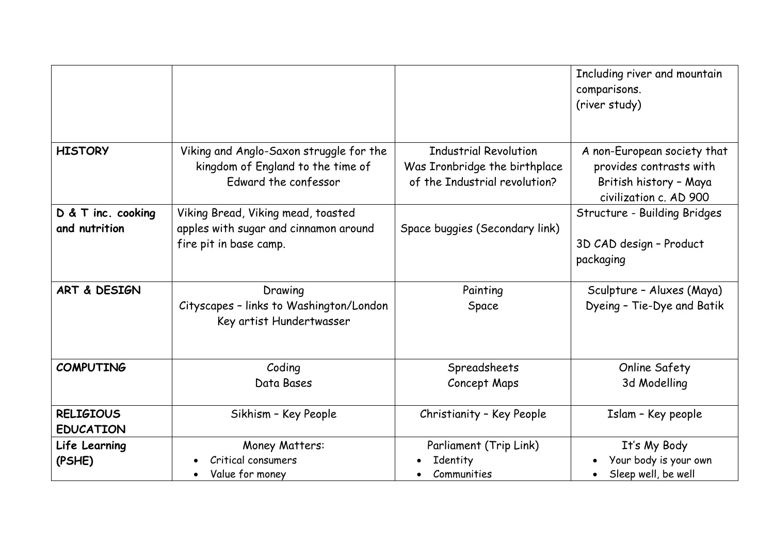|                                      |                                                                                                       |                                                                                                | Including river and mountain<br>comparisons.<br>(river study)                                              |
|--------------------------------------|-------------------------------------------------------------------------------------------------------|------------------------------------------------------------------------------------------------|------------------------------------------------------------------------------------------------------------|
| <b>HISTORY</b>                       | Viking and Anglo-Saxon struggle for the<br>kingdom of England to the time of<br>Edward the confessor  | <b>Industrial Revolution</b><br>Was Ironbridge the birthplace<br>of the Industrial revolution? | A non-European society that<br>provides contrasts with<br>British history - Maya<br>civilization c. AD 900 |
| D & T inc. cooking<br>and nutrition  | Viking Bread, Viking mead, toasted<br>apples with sugar and cinnamon around<br>fire pit in base camp. | Space buggies (Secondary link)                                                                 | Structure - Building Bridges<br>3D CAD design - Product<br>packaging                                       |
| ART & DESIGN                         | Drawing<br>Cityscapes - links to Washington/London<br>Key artist Hundertwasser                        | Painting<br>Space                                                                              | Sculpture - Aluxes (Maya)<br>Dyeing - Tie-Dye and Batik                                                    |
| <b>COMPUTING</b>                     | Coding<br>Data Bases                                                                                  | Spreadsheets<br>Concept Maps                                                                   | Online Safety<br>3d Modelling                                                                              |
| <b>RELIGIOUS</b><br><b>EDUCATION</b> | Sikhism - Key People                                                                                  | Christianity - Key People                                                                      | Islam - Key people                                                                                         |
| Life Learning<br>(PSHE)              | Money Matters:<br>Critical consumers<br>Value for money                                               | Parliament (Trip Link)<br>Identity<br>Communities                                              | It's My Body<br>Your body is your own<br>Sleep well, be well                                               |